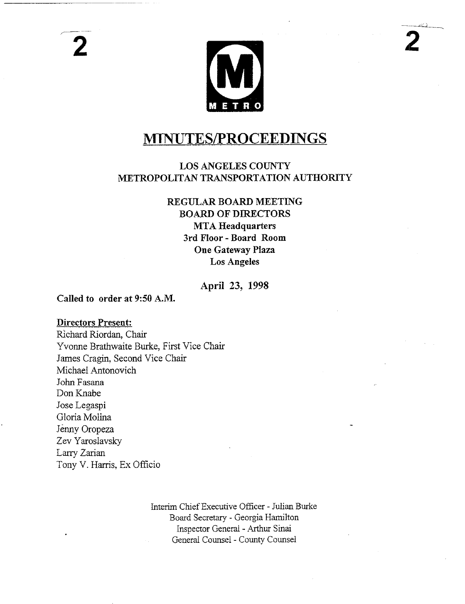

# **MINUTES/PROCEEDINGS**

## LOS ANGELES COUNTY METROPOLITAN TRANSPORTATION AUTHORITY

## REGULAR BOARD MEETING BOARD OF DIRECTORS MTA **Headquarters** 3rd **Floor- Board Room One Gateway Plaza Los Angeles**

**April** 23, 1998

#### **Called to order at** 9:50 A.M.

#### **Directors Present:**

Richard Riordan, Chair Yvonne Brathwaite Burke, First Vice Chair James Cragin, Second Vice Chair Michael Antonovich John Fasana Don Knabe Jose Legaspi Gloria Molina Jenny Oropeza Zev Yaroslavsky Larry Zarian Tony V. Harris, Ex Officio

> Interim Chief Executive Officer - Julian Burke Board Secretary - Georgia Hamilton Inspector General - Arthur Sinai General Counsel - County Counsel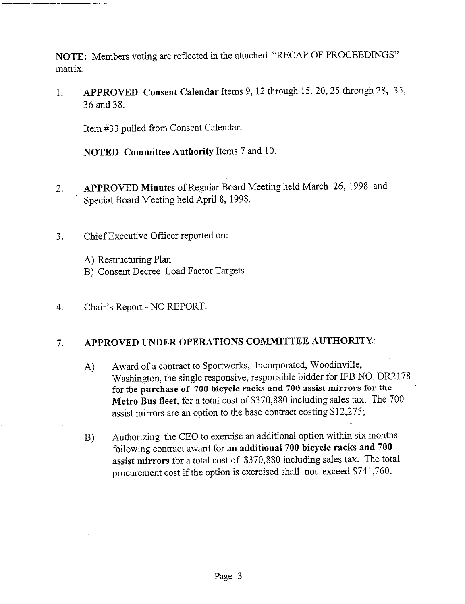NOTE: Members voting are reflected in the attached "RECAP OF PROCEEDINGS" matrix.

APPROVED Consent Calendar Items 9, 12 through 15, 20, 25 through 28, 35,  $1.$ 36 and 38.

Item #33 pulled from Consent Calendar.

NOTED Committee Authority Items 7 and 10.

- ° APPROVED **Minutes** of Regular Board Meeting held March 26, 1998 and Special Board Meeting held April 8, 1998.
- 3. Chief Executive Officer reported on:

A) Restructuring Plan

- B) Consent Decree Load Factor Targets
- 4. Chair's Report NO REPORT.

#### APPROVED UNDER OPERATIONS COMMITTEE AUTHORITY:  $7.$

- A) Award of a contract to Sportworks, Incorporated, Woodinville, Washington, the single responsive, responsible bidder for IFB NO. DR2178 for the purchase of 700 bicycle racks and 700 assist mirrors for the **Metro** Bus fleet, for a total cost of \$370,880 including sales tax. The 700 assist mirrors are an option to the base contract costing \$12,275;
- **B)** Authorizing the CEO to exercise an additional option within six months following contract award for an additional 700 bicycle racks and 700 assist mirrors for a total cost of \$370,880 including sales tax. The total procurement cost if the option is exercised shall not exceed \$741,760.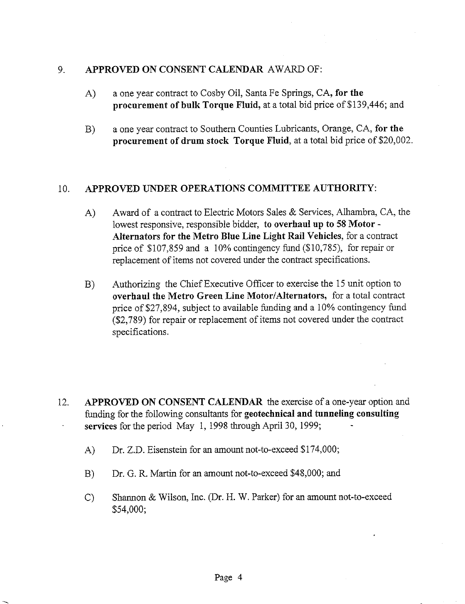## 9. APPROVED ON CONSENT CALENDAR AWARD OF:

- A) a one year contract to Cosby Oil, Santa Fe Springs, CA, for the procurement of bulk Torque Fluid, at a total bid price of \$139,446; and
- **B)** a one year contract to Southern Counties Lubricants, Orange, CA, for the procurement of drum stock Torque Fluid, at a total bid price of \$20,002.

## 10. APPROVED UNDER OPERATIONS COMMITTEE AUTHORITY:

- A) Award of a contract to Electric Motors Sales & Services, Alhambra, CA, the lowest responsive, responsible bidder, to overhaul up to 58 Motor - Alternators for the Metro Blue Line Light Rail Vehicles, for a contract price of \$107,859 and a 10% contingency fund (\$10,785), for repair replacement of items not covered under the contract specifications.
- Authorizing the Chief Executive Officer to exercise the 15 unit option to  $B)$ overhaul the Metro Green Line Motor/Alternators, for a total contract price of \$27,894, subject to available funding and a 10% contingency fund (\$2,789) for repair or replacement of items not covered under the contract specifications.
- 12. APPROVED ON CONSENT CALENDAR the exercise of a one-year option and funding for the following consultants for geotechnical and tunneling consulting services for the period May 1, 1998 through April 30, 1999;
	- A) Dr. Z.D. Eisenstein for an amount not-to-exceed \$174,000;
	- B) Dr. G. R. Martin for an amount not-to-exceed \$48,000; and
	- c) Shannon & Wilson, Inc. (Dr. H. W. Parker) for an amount not-to-exceed \$54,O00;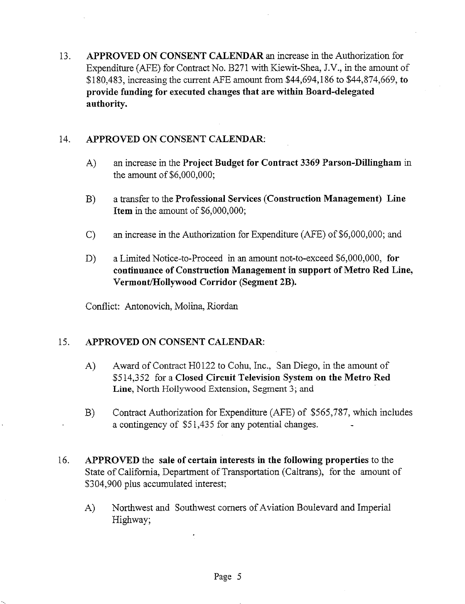13. APPROVED ON CONSENT CALENDAR an increase in the Authorization for Expenditure (AFE) for Contract No. B271 with Kiewit-Shea, J.V., in the amount \$180,483, increasing the current AFE amount from \$44,694,186 to \$44,874,669, **to provide funding for executed changes that are within Board-delegated authority.**

#### 14. APPROVED ON CONSENT CALENDAR:

- A) an increase in the **Project Budget for Contract 3369 Parson-Dillingham** in the amount of \$6,000,000;
- **B)** a transfer to the Professional Services **(Construction Management) Line Item** in the amount of \$6,000,000;
- C) an increase in the Authorization for Expenditure (AFE) of \$6,000,000;
- **D)** a Limited Notice-to-Proceed in an amount not-to-exceed \$6,000,000, **for continuance of Construction Management in support of Metro Red Line, Vermont/Hollywood Corridor (Segment 2B).**

Conflict: Antonovich, Molina, Riordan

#### 15. APPROVED ON CONSENT CALENDAR:

- A) Award of Contract H0122 to Cohu, Inc., San Diego, in the amount of \$514,352 for a **Closed Circuit Television System on the Metro Red Line,** North Hollywood Extension, Segment 3; and
- **B)** Contract Authorization for Expenditure (AFE) of \$565,787, which includes a contingency of \$51,435 for any potential changes.
- 16. **APPROVED the sale of certain interests in the following properties to the** State of California, Department of Transportation (Caltrans), for the amount \$304,900 plus accumulated interest;
	- A) Northwest and Southwest comers of Aviation Boulevard and Imperial Highway;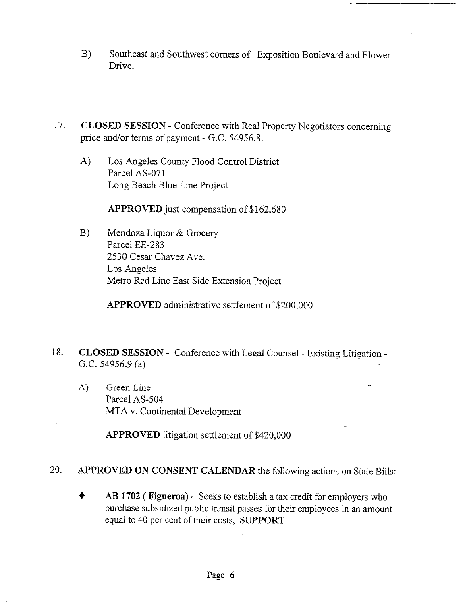- **B)** Southeast and Southwest corners of Exposition Boulevard and Flower Drive.
- 17. **CLOSED SESSION** Conference with Real Property Negotiators concerning price and/or terms of payment - G.C. 54956.8.
	- A) Los Angeles County Flood Control District Parcel AS-071 Long Beach Blue Line Project

APPROVED just compensation of \$162,680

**B)** Mendoza Liquor & Grocery Parcel EE-283 2530 Cesar Chavez Ave. Los Angeles Metro Red Line East Side Extension Project

APPROVED administrative settlement of \$200,000

- 18. CLOSED SESSION Conference with Legal Counsel Existing Litigation -G.C. 54956.9 (a)
	- A) Green Line Parcel AS-504 MTA v. Continental Development

APPROVED litigation settlement of \$420,000

## 20. APPROVED ON CONSENT CALENDAR the following actions on State Bills:

AB 1702 (Figueroa) - Seeks to establish a tax credit for employers who purchase subsidized public transit passes for their employees in an amount equal to 40 per cent of their costs, SUPPORT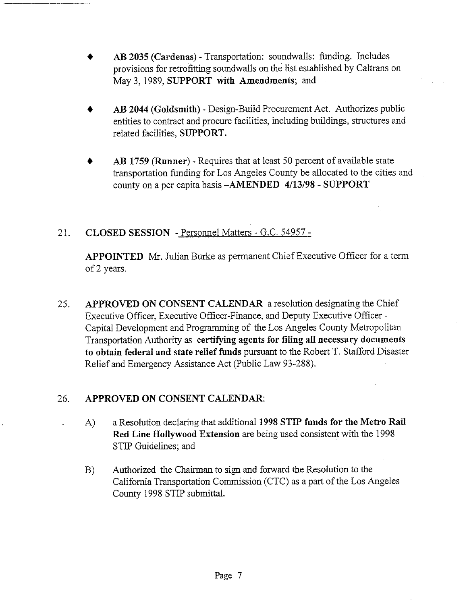- AB 2035 (Cardenas) Transportation: soundwalls: funding. Includes provisions for retrofitting soundwalls on the list established by Caltrans on May 3, 1989, SUPPORT with Amendments; and
- AB 2044 (Goldsmith) Design-Build Procurement Act. Authorizes public entities to contract and procure facilities, including buildings, structures and related facilities, SUPPORT.
- AB 1759 (Runner) Requires that at least 50 percent of available state transportation funding for Los Angeles County be allocated to the cities and county on a per capita basis -AMENDED 4/13/98 - SUPPORT

## 21. CLOSED SESSION -Personnel Matters - G.C. 54957 -

APPOINTED Mr. Julian Burke as permanent Chief Executive Officer for a term of 2 years.

25. APPROVED ON CONSENT CALENDAR a resolution designating the Chief Executive Officer, Executive Officer-Finance, and Deputy Executive Officer - Capital Development and Programming of the Los Angeles County Metropolitan Transportation Authority as certifying agents for filing all necessary documents to obtain federal and state relief funds pursuant to the Robert T. Stafford Disaster Relief and Emergency Assistance Act (Public Law 93-288).

## 26. APPROVED ON CONSENT CALENDAR:

- a Resolution declaring that additional 1998 STIP funds for the Metro Rail  $A)$ Red Line Hollywood Extension are being used consistent with the 1998 STIP Guidelines; and
- $B)$ Authorized the Chairman to sign and forward the Resolution to the California Transportation Commission (CTC) as a part of the Los Angeles County 1998 STIP submittal.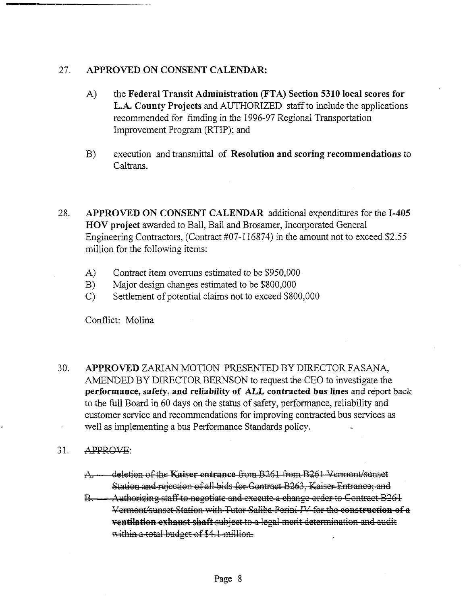## 27. APPROVED ON CONSENT CALENDAR:

- A) the Federal Transit Administration (FTA) Section 5310 local scores **for** L.A. County Projects and AUTHORIZED staffto include the applications recommended for funding in the 1996-97 Regional Transportation Improvement Program (RTIP); and
- $B)$ execution and transmittal of **Resolution and scoring recommendations** to Caltrans.
- 28. APPROVED ON CONSENT CALENDAR additional expenditures for the 1-405 HOV project awarded to Ball, Ball and Brosamer, Incorporated General Engineering Contractors, (Contract #07-116874) in the amount not to exceed \$2.55 million for the following items:
	- A) Contract item overruns estimated to be \$950,000
	- B) Major design changes estimated to be \$800,000
	- C) Settlement of potential claims not to exceed \$800,000

Conflict: Molina

30. APPROVED ZARIAN MOTION PRESENTED BY DIRECTOR FASANA, AMENDED BY DIRECTOR BERNSON to request the CEO to investigate the performance, safety, and reliability of ALL contracted bus lines and report back to the full Board in 60 days on the status of safety., performance, reliability and customer service and recommendations for improving contracted bus services as well as implementing a bus Performance Standards policy.

#### 31. APPROVE:

- deletion of the Kaiser entrance from B261 from B261 Vermont/sunset  $A-$ Station and rejection of all bids for Contract B263, Kaiser Entrance; and
- Authorizing staff to negotiate and execute a change order to Contract B261  $B -$ Vermont/sunset Station with Tutor Saliba Perini JV for the construction of a ventilation exhaust shaft subject to a legal merit determination and audit within a total budget of \$4.1 million.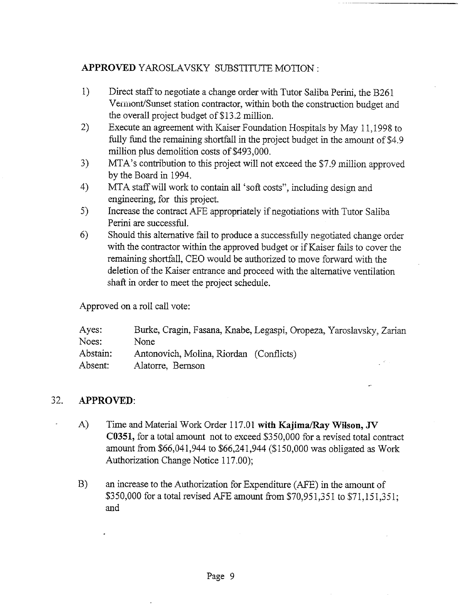## APPROVED YAROSLAVSKY SUBSTITUTE MOTION :

- 1) Direct staff to negotiate a change order with Tutor Saliba Perini, the B261 Vermont/Sunset station contractor, within both the construction budget and the overall project budget of \$13.2 million.
- $2)$ Execute an agreement with Kaiser Foundation Hospitals by May 11,1998 to fully fund the remaining shortfall in the project budget in the amount of \$4.9 million plus demolition costs of \$493,000.
- 3) MTA's contribution to this project will not exceed the \$7.9 million approved by the Board in 1994.
- 4) MTA staff will work to contain all 'soft costs", including design and engineering, for this project.
- 5) Increase the contract AFE appropriately if negotiations with Tutor Saliba Perini are successful.
- 6) Should this alternative fail to produce a successfully negotiated change order with the contractor within the approved budget or if Kaiser fails to cover the remaining shortfall, CEO would be authorized to move forward with the deletion of the Kaiser entrance and proceed with the alternative ventilation shaft in order to meet the project schedule.

Approved on a roll call vote:

| Ayes:    | Burke, Cragin, Fasana, Knabe, Legaspi, Oropeza, Yaroslavsky, Zarian |  |
|----------|---------------------------------------------------------------------|--|
| Noes:    | None                                                                |  |
| Abstain: | Antonovich, Molina, Riordan (Conflicts)                             |  |
| Absent:  | Alatorre, Bernson                                                   |  |

## **32. APPROVED:**

- $A)$ Time and Material Work Order 117.01 with Kajima/Ray Wilson, JV C0351, for a total amount not to exceed \$350,000 for a revised total contract amount from *\$66,041,944* to \$66,241,944 (\$150,000 was obligated as Work Authorization Change Notice 117.00);
- B) an increase to the Authorization for Expenditure (AFE) in the amount \$350,000 for a total revised AFE amount from \$70,951,351 to \$71,151,351; and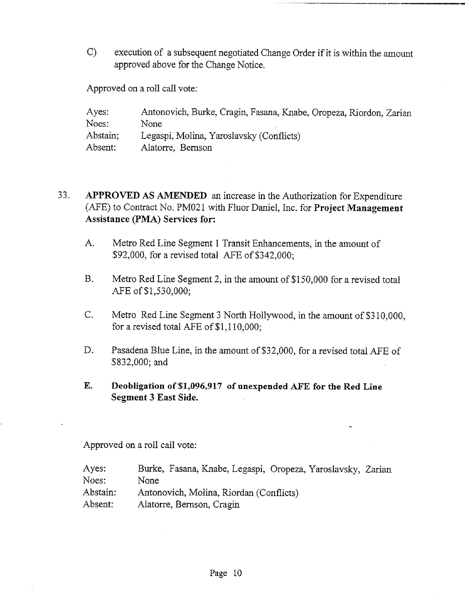c) execution of a subsequent negotiated Change Order if it is within the amount approved above for the Change Notice.

Approved on a roll call vote:

Ayes: Noes: Abstain; Absent: Antonovich, Burke, Cragin, Fasana, Knabe, Oropeza, Riordon, Zarian None Legaspi, Molina, Yaroslavsky (Conflicts) Alatorre, Bemson

- 33. APPROVED AS AMENDED an increase in the Authorization for Expenditure (AFE) to Contract No. PM021 with Fluor Daniel, Inc. for Project **Management Assistance (PMA) Services for:**
	- A. Metro Red Line Segment 1 Transit Enhancements, in the amount of \$92,000, for a revised total AFE of \$342,000;
	- B. Metro Red Line Segment 2, in the amount of \$150,000 for a revised total AFE of \$1,530,000;
	- C. Metro Red Line Segment 3 North Hollywood, in the amount of \$310,000, for a revised total AFE of  $$1,110,000;$
	- D. Pasadena Blue Line, in the amount of \$32,000, for a revised total AFE of \$832,000; and
	- E. **Deobligation of \$1,096,917 of unexpended AFE for the Red Line Segment 3 East Side.**

Approved on a roll call vote:

Ayes: Noes: Abstain: Absent: Burke, Fasana, Knabe, Legaspi, Oropeza, Yaroslavsky, Zarian None Antonovich, Molina, Riordan (Conflicts) Alatorre, Bemson, Cragin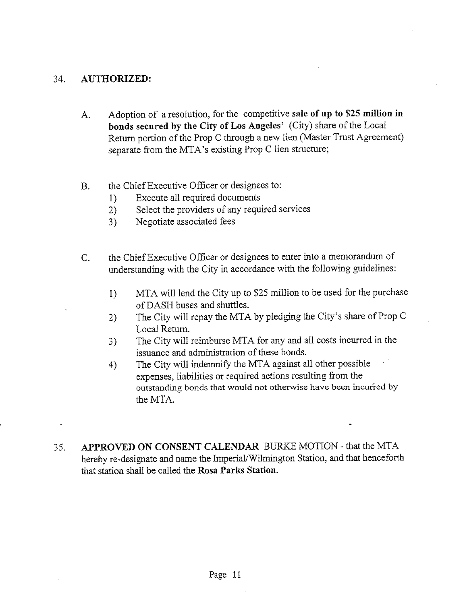#### **34. AUTHORIZED:**

- Adoption of a resolution, for the competitive sale of up to \$25 million in  $A<sub>1</sub>$ bonds secured by the City of Los Angeles' (City) share of the Local Return portion of the Prop C through a new lien (Master Trust Agreement) separate from the MTA's existing Prop C lien structure;
- B. the Chief Executive Officer or designees to:
	- 1) Execute all required documents
	- 2) Select the providers of any required services
	- 3) Negotiate associated fees
- C. the Chief Executive Officer or designees to enter into a memorandum of understanding with the City in accordance with the following guidelines:
	- l) MTA will lend the City up to \$25 million to be used for the purchase of DASH buses and shuttles.
	- 2) The City will repay the MTA by pledging the City's share of Prop C Local Return.
	- ?) The City will reimburse MTA for any and all costs incurred in the issuance and administration of these bonds.
	- 4) The City will indemnify the MTA against all other possible expenses, liabilities or required actions resulting from the outstanding bonds that would not otherwise have been incurred by the MTA.
- 35. APPROVED ON CONSENT CALENDAR BURKE MOTION that the MTA hereby re-designate and name the Imperial/Wilmington Station, and that henceforth that station shall be called the Rosa Parks Station.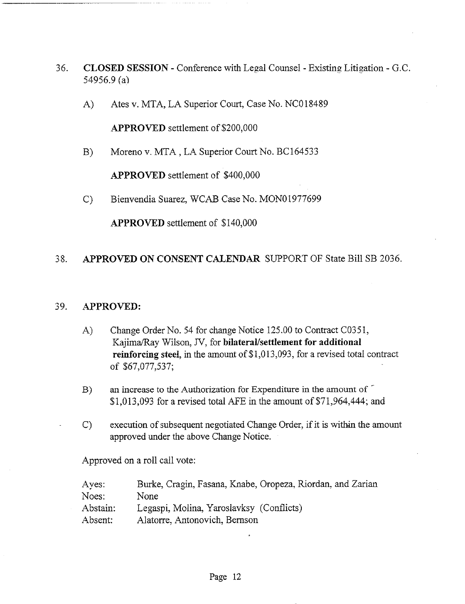- 36. **CLOSED SESSION** Conference with Legal Counsel Existing Litigation G.C. 54956.9 (a)
	- A) Ates v. MTA, LA Superior Court, Case No. NC018489

APPROVED settlement of \$200,000

B) Moreno v. *MTA, LA* Superior Court No. BC164533

APPROVED settlement of \$400,000

C) Bienvendia Suarez, WCAB Case No. MON01977699

APPROVED settlement of \$140,000

## 38. APPROVED ON CONSENT CALENDAR SUPPORT OF State Bill SB 2036.

#### 39. APPROVED:

- A) Change Order No. 54 for change Notice 125.00 to Contract C0351, Kajima/Ray Wilson, JV, for bilateral/settlement for additional reinforcing steel, in the amount of \$1,013,093, for a revised total contract of \$67,077,537;
- an increase to the Authorization for Expenditure in the amount of "  $B)$ \$1,013,093 for a revised total AFE in the amount of \$71,964,444; and
- c) execution of subsequent negotiated Change Order, if it is within the amount approved under the above Change Notice.

Approved on a roll call vote:

| Aves:    | Burke, Cragin, Fasana, Knabe, Oropeza, Riordan, and Zarian |
|----------|------------------------------------------------------------|
| Noes:    | None                                                       |
| Abstain: | Legaspi, Molina, Yaroslavksy (Conflicts)                   |
| Absent:  | Alatorre, Antonovich, Bernson                              |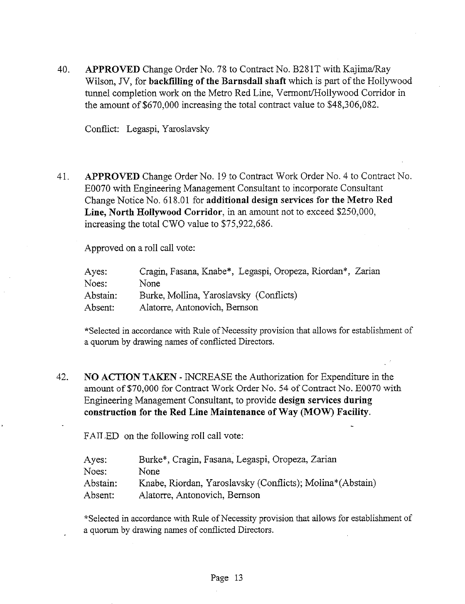40. APPROVED Change Order No. 78 to Contract No. B281T with Kajima/Ray Wilson, JV, for backfilling of **the Barnsdall shaft** which is part of the Hollywood tunnel completion work on the Metro Red Line, Vermont/Hollywood Corridor in the amount of \$670,000 increasing the total contract value to \$48,306,082.

Conflict: Legaspi, Yaroslavsky

41. APPROVED Change Order No. 19 to Contract Work Order No. 4 to Contract No. E0070 with Engineering Management Consultant to incorporate Consultant Change Notice No. 618.01 for **additional design services for the Metro** Red **Line, North Hollywood Corridor,** in an amount not to exceed \$250,000, increasing the total CWO value to \$75,922,686.

Approved on a roll call vote:

| Ayes:    | Cragin, Fasana, Knabe*, Legaspi, Oropeza, Riordan*, Zarian |
|----------|------------------------------------------------------------|
| Noes:    | None                                                       |
| Abstain: | Burke, Mollina, Yaroslavsky (Conflicts)                    |
| Absent:  | Alatorre, Antonovich, Bernson                              |

\*Selected in accordance with Rule of Necessity provision that allows for establishment of a quorum by drawing names of conflicted Directors.

42. NO ACTION TAKEN - INCREASE the Authorization for Expenditure in the amount of \$70,000 for Contract Work Order No. 54 of Contract No. E0070 with Engineering Management Consultant, to provide design services **during construction for the Red Line Maintenance of Way (MOW) Facility.**

FAHED on the following roll call vote:

| Ayes:    | Burke*, Cragin, Fasana, Legaspi, Oropeza, Zarian          |
|----------|-----------------------------------------------------------|
| Noes:    | None                                                      |
| Abstain: | Knabe, Riordan, Yaroslavsky (Conflicts); Molina*(Abstain) |
| Absent:  | Alatorre, Antonovich, Bernson                             |

\*Selected in accordance with Rule of Necessity provision that allows for establishment of a quorum by drawing names of conflicted Directors.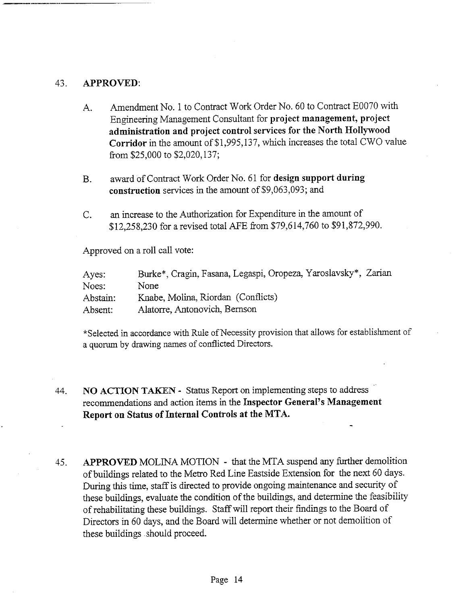#### 43. APPROVED:

- Amendment No. 1 to Contract Work Order No. 60 to Contract E0070 with A. Engineering Management Consultant for **project management,** project **administration and project control services for the** North Hollywood Corridor in the amount of \$1,995,137, which increases the total CWO value from \$25,000 to \$2,020,137;
- award of Contract Work Order No. 61 for design support during **B. construction** services in the amount of \$9,063,093; and
- an increase to the Authorization for Expenditure in the amount of  $C_{\cdot}$ \$12,258,230 for a revised total AFE from \$79,614,760 to \$91,872,990.

Approved on a roll call vote:

| Ayes:    | Burke*, Cragin, Fasana, Legaspi, Oropeza, Yaroslavsky*, Zarian |
|----------|----------------------------------------------------------------|
| Noes:    | None                                                           |
| Abstain: | Knabe, Molina, Riordan (Conflicts)                             |
| Absent:  | Alatorre, Antonovich, Bernson                                  |

~Selected in accordance with Rule of Necessity provision that allows for establishment of a quorum by drawing names of conflicted Directors.

- 44. NO ACTION TAKEN Status Report on implementing steps to address recommendations and action items in the Inspector General's **Management Report on Status of Internal Controls at the MTA.**
- 45. APPROVED MOLINA MOTION that the MTA suspend any further demolition of buildings related to the Metro Red Line Eastside Extension for the next 60 days. During this time, staff is directed to provide ongoing maintenance and security of these buildings, evaluate the condition of the buildings, and determine the feasibility of rehabilitating these buildings. Staffwill report their findings to the Board of Directors in 60 days, and the Board will determine whether or not demolition of these buildings should proceed.